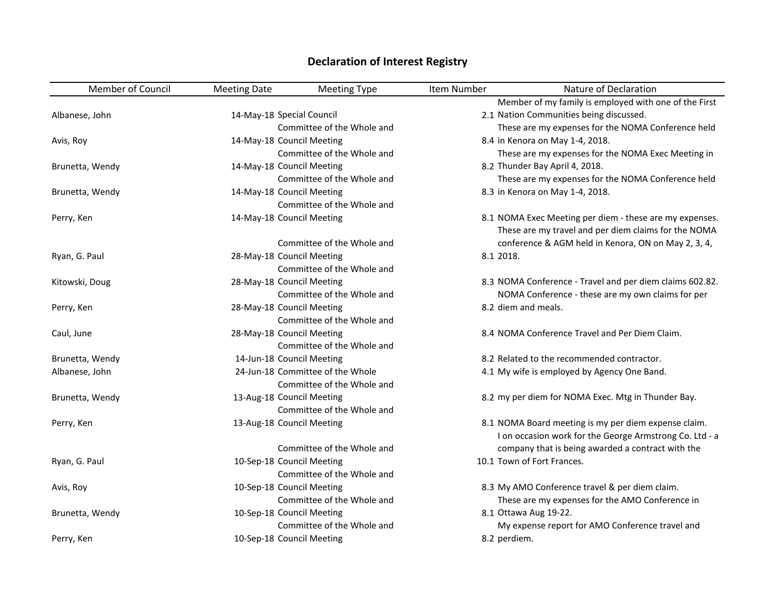| <b>Member of Council</b> | <b>Meeting Date</b>       | <b>Meeting Type</b>              | Item Number  | Nature of Declaration                                                                                           |
|--------------------------|---------------------------|----------------------------------|--------------|-----------------------------------------------------------------------------------------------------------------|
|                          |                           |                                  |              | Member of my family is employed with one of the First                                                           |
| Albanese, John           | 14-May-18 Special Council |                                  |              | 2.1 Nation Communities being discussed.                                                                         |
|                          |                           | Committee of the Whole and       |              | These are my expenses for the NOMA Conference held                                                              |
| Avis, Roy                |                           | 14-May-18 Council Meeting        |              | 8.4 in Kenora on May 1-4, 2018.                                                                                 |
|                          |                           | Committee of the Whole and       |              | These are my expenses for the NOMA Exec Meeting in                                                              |
| Brunetta, Wendy          |                           | 14-May-18 Council Meeting        |              | 8.2 Thunder Bay April 4, 2018.                                                                                  |
|                          |                           | Committee of the Whole and       |              | These are my expenses for the NOMA Conference held                                                              |
| Brunetta, Wendy          |                           | 14-May-18 Council Meeting        |              | 8.3 in Kenora on May 1-4, 2018.                                                                                 |
|                          |                           | Committee of the Whole and       |              |                                                                                                                 |
| Perry, Ken               |                           | 14-May-18 Council Meeting        |              | 8.1 NOMA Exec Meeting per diem - these are my expenses.<br>These are my travel and per diem claims for the NOMA |
|                          |                           | Committee of the Whole and       |              | conference & AGM held in Kenora, ON on May 2, 3, 4,                                                             |
| Ryan, G. Paul            |                           | 28-May-18 Council Meeting        | 8.1 2018.    |                                                                                                                 |
|                          |                           | Committee of the Whole and       |              |                                                                                                                 |
| Kitowski, Doug           |                           | 28-May-18 Council Meeting        |              | 8.3 NOMA Conference - Travel and per diem claims 602.82.                                                        |
|                          |                           | Committee of the Whole and       |              | NOMA Conference - these are my own claims for per                                                               |
| Perry, Ken               |                           | 28-May-18 Council Meeting        |              | 8.2 diem and meals.                                                                                             |
|                          |                           | Committee of the Whole and       |              |                                                                                                                 |
| Caul, June               |                           | 28-May-18 Council Meeting        |              | 8.4 NOMA Conference Travel and Per Diem Claim.                                                                  |
|                          |                           | Committee of the Whole and       |              |                                                                                                                 |
| Brunetta, Wendy          |                           | 14-Jun-18 Council Meeting        |              | 8.2 Related to the recommended contractor.                                                                      |
| Albanese, John           |                           | 24-Jun-18 Committee of the Whole |              | 4.1 My wife is employed by Agency One Band.                                                                     |
|                          |                           | Committee of the Whole and       |              |                                                                                                                 |
| Brunetta, Wendy          |                           | 13-Aug-18 Council Meeting        |              | 8.2 my per diem for NOMA Exec. Mtg in Thunder Bay.                                                              |
|                          |                           | Committee of the Whole and       |              |                                                                                                                 |
| Perry, Ken               |                           | 13-Aug-18 Council Meeting        |              | 8.1 NOMA Board meeting is my per diem expense claim.<br>I on occasion work for the George Armstrong Co. Ltd - a |
|                          |                           | Committee of the Whole and       |              | company that is being awarded a contract with the                                                               |
| Ryan, G. Paul            |                           | 10-Sep-18 Council Meeting        |              | 10.1 Town of Fort Frances.                                                                                      |
|                          |                           | Committee of the Whole and       |              |                                                                                                                 |
| Avis, Roy                |                           | 10-Sep-18 Council Meeting        |              | 8.3 My AMO Conference travel & per diem claim.                                                                  |
|                          |                           | Committee of the Whole and       |              | These are my expenses for the AMO Conference in                                                                 |
| Brunetta, Wendy          |                           | 10-Sep-18 Council Meeting        |              | 8.1 Ottawa Aug 19-22.                                                                                           |
|                          |                           | Committee of the Whole and       |              | My expense report for AMO Conference travel and                                                                 |
| Perry, Ken               |                           | 10-Sep-18 Council Meeting        | 8.2 perdiem. |                                                                                                                 |

## **Declaration of Interest Registry**